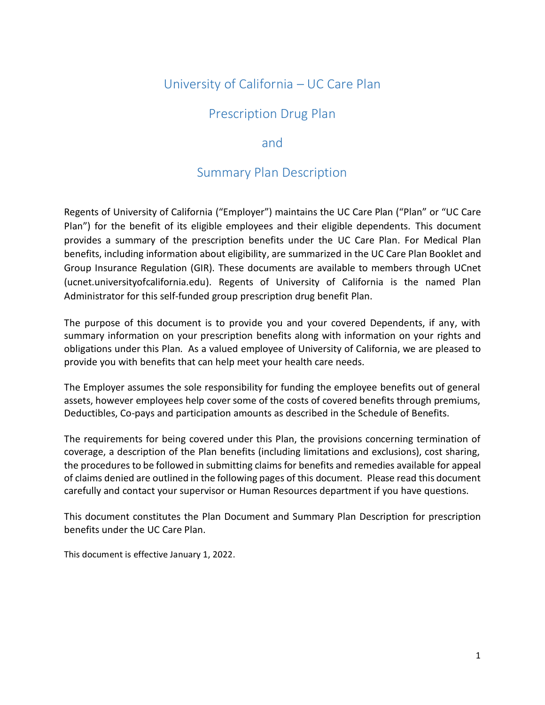# University of California – UC Care Plan

# Prescription Drug Plan

# and

# Summary Plan Description

Regents of University of California ("Employer") maintains the UC Care Plan ("Plan" or "UC Care Plan") for the benefit of its eligible employees and their eligible dependents. This document provides a summary of the prescription benefits under the UC Care Plan. For Medical Plan benefits, including information about eligibility, are summarized in the UC Care Plan Booklet and Group Insurance Regulation (GIR). These documents are available to members through UCnet (ucnet.universityofcalifornia.edu). Regents of University of California is the named Plan Administrator for this self-funded group prescription drug benefit Plan.

The purpose of this document is to provide you and your covered Dependents, if any, with summary information on your prescription benefits along with information on your rights and obligations under this Plan. As a valued employee of University of California, we are pleased to provide you with benefits that can help meet your health care needs.

The Employer assumes the sole responsibility for funding the employee benefits out of general assets, however employees help cover some of the costs of covered benefits through premiums, Deductibles, Co-pays and participation amounts as described in the Schedule of Benefits.

The requirements for being covered under this Plan, the provisions concerning termination of coverage, a description of the Plan benefits (including limitations and exclusions), cost sharing, the procedures to be followed in submitting claims for benefits and remedies available for appeal of claims denied are outlined in the following pages of this document. Please read this document carefully and contact your supervisor or Human Resources department if you have questions.

This document constitutes the Plan Document and Summary Plan Description for prescription benefits under the UC Care Plan.

This document is effective January 1, 2022.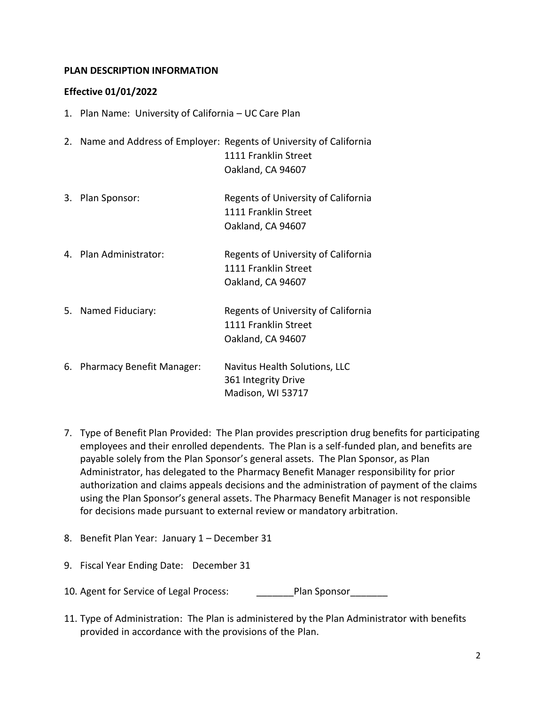## **PLAN DESCRIPTION INFORMATION**

## **Effective 01/01/2022**

- 1. Plan Name: University of California UC Care Plan
- 2. Name and Address of Employer: Regents of University of California 1111 Franklin Street Oakland, CA 94607
- 3. Plan Sponsor: Regents of University of California 1111 Franklin Street Oakland, CA 94607
- 4. Plan Administrator: Regents of University of California 1111 Franklin Street Oakland, CA 94607
- 5. Named Fiduciary: Regents of University of California 1111 Franklin Street Oakland, CA 94607
- 6. Pharmacy Benefit Manager: Navitus Health Solutions, LLC 361 Integrity Drive Madison, WI 53717
- 7. Type of Benefit Plan Provided: The Plan provides prescription drug benefits for participating employees and their enrolled dependents. The Plan is a self-funded plan, and benefits are payable solely from the Plan Sponsor's general assets. The Plan Sponsor, as Plan Administrator, has delegated to the Pharmacy Benefit Manager responsibility for prior authorization and claims appeals decisions and the administration of payment of the claims using the Plan Sponsor's general assets. The Pharmacy Benefit Manager is not responsible for decisions made pursuant to external review or mandatory arbitration.
- 8. Benefit Plan Year: January 1 December 31
- 9. Fiscal Year Ending Date: December 31
- 10. Agent for Service of Legal Process: The Plan Sponsor
- 11. Type of Administration: The Plan is administered by the Plan Administrator with benefits provided in accordance with the provisions of the Plan.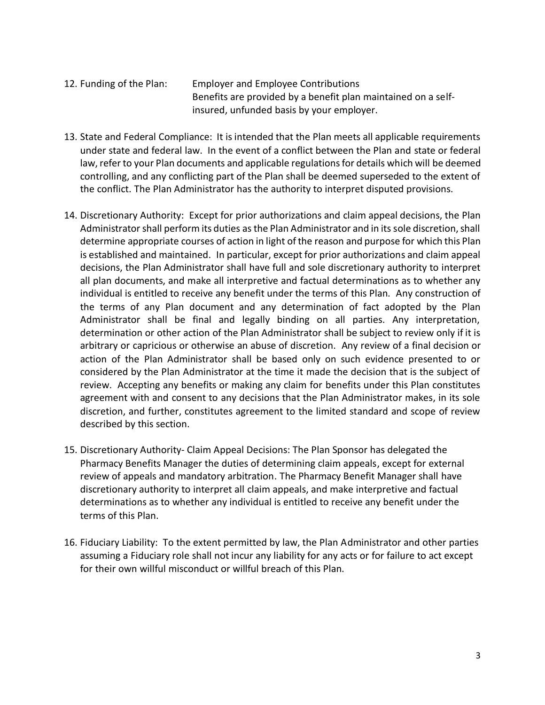- 12. Funding of the Plan: Employer and Employee Contributions Benefits are provided by a benefit plan maintained on a selfinsured, unfunded basis by your employer.
- 13. State and Federal Compliance: It is intended that the Plan meets all applicable requirements under state and federal law. In the event of a conflict between the Plan and state or federal law, refer to your Plan documents and applicable regulations for details which will be deemed controlling, and any conflicting part of the Plan shall be deemed superseded to the extent of the conflict. The Plan Administrator has the authority to interpret disputed provisions.
- 14. Discretionary Authority: Except for prior authorizations and claim appeal decisions, the Plan Administrator shall perform its duties as the Plan Administrator and in its sole discretion, shall determine appropriate courses of action in light of the reason and purpose for which this Plan is established and maintained. In particular, except for prior authorizations and claim appeal decisions, the Plan Administrator shall have full and sole discretionary authority to interpret all plan documents, and make all interpretive and factual determinations as to whether any individual is entitled to receive any benefit under the terms of this Plan. Any construction of the terms of any Plan document and any determination of fact adopted by the Plan Administrator shall be final and legally binding on all parties. Any interpretation, determination or other action of the Plan Administrator shall be subject to review only if it is arbitrary or capricious or otherwise an abuse of discretion. Any review of a final decision or action of the Plan Administrator shall be based only on such evidence presented to or considered by the Plan Administrator at the time it made the decision that is the subject of review. Accepting any benefits or making any claim for benefits under this Plan constitutes agreement with and consent to any decisions that the Plan Administrator makes, in its sole discretion, and further, constitutes agreement to the limited standard and scope of review described by this section.
- 15. Discretionary Authority- Claim Appeal Decisions: The Plan Sponsor has delegated the Pharmacy Benefits Manager the duties of determining claim appeals, except for external review of appeals and mandatory arbitration. The Pharmacy Benefit Manager shall have discretionary authority to interpret all claim appeals, and make interpretive and factual determinations as to whether any individual is entitled to receive any benefit under the terms of this Plan.
- 16. Fiduciary Liability: To the extent permitted by law, the Plan Administrator and other parties assuming a Fiduciary role shall not incur any liability for any acts or for failure to act except for their own willful misconduct or willful breach of this Plan.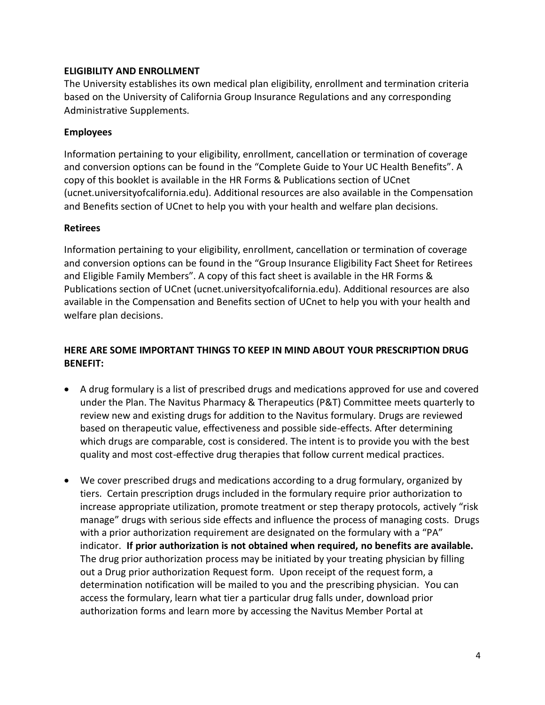### **ELIGIBILITY AND ENROLLMENT**

The University establishes its own medical plan eligibility, enrollment and termination criteria based on the University of California Group Insurance Regulations and any corresponding Administrative Supplements.

## **Employees**

Information pertaining to your eligibility, enrollment, cancellation or termination of coverage and conversion options can be found in the "Complete Guide to Your UC Health Benefits". A copy of this booklet is available in the HR Forms & Publications section of UCnet (ucnet.universityofcalifornia.edu). Additional resources are also available in the Compensation and Benefits section of UCnet to help you with your health and welfare plan decisions.

#### **Retirees**

Information pertaining to your eligibility, enrollment, cancellation or termination of coverage and conversion options can be found in the "Group Insurance Eligibility Fact Sheet for Retirees and Eligible Family Members". A copy of this fact sheet is available in the HR Forms & Publications section of UCnet (ucnet.universityofcalifornia.edu). Additional resources are also available in the Compensation and Benefits section of UCnet to help you with your health and welfare plan decisions.

# **HERE ARE SOME IMPORTANT THINGS TO KEEP IN MIND ABOUT YOUR PRESCRIPTION DRUG BENEFIT:**

- A drug formulary is a list of prescribed drugs and medications approved for use and covered under the Plan. The Navitus Pharmacy & Therapeutics (P&T) Committee meets quarterly to review new and existing drugs for addition to the Navitus formulary. Drugs are reviewed based on therapeutic value, effectiveness and possible side-effects. After determining which drugs are comparable, cost is considered. The intent is to provide you with the best quality and most cost-effective drug therapies that follow current medical practices.
- We cover prescribed drugs and medications according to a drug formulary, organized by tiers. Certain prescription drugs included in the formulary require prior authorization to increase appropriate utilization, promote treatment or step therapy protocols, actively "risk manage" drugs with serious side effects and influence the process of managing costs. Drugs with a prior authorization requirement are designated on the formulary with a "PA" indicator. **If prior authorization is not obtained when required, no benefits are available.** The drug prior authorization process may be initiated by your treating physician by filling out a Drug prior authorization Request form. Upon receipt of the request form, a determination notification will be mailed to you and the prescribing physician. You can access the formulary, learn what tier a particular drug falls under, download prior authorization forms and learn more by accessing the [Navitus Member Portal](https://members.navitus.com/) at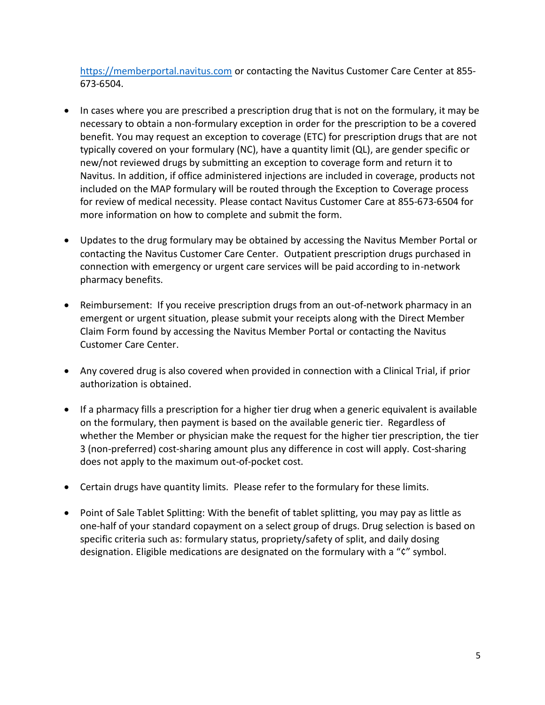[https://memberportal.navitus.com](https://memberportal.navitus.com/) or contacting the Navitus Customer Care Center at 855-673-6504.

- In cases where you are prescribed a prescription drug that is not on the formulary, it may be necessary to obtain a non-formulary exception in order for the prescription to be a covered benefit. You may request an exception to coverage (ETC) for prescription drugs that are not typically covered on your formulary (NC), have a quantity limit (QL), are gender specific or new/not reviewed drugs by submitting an exception to coverage form and return it to Navitus. In addition, if office administered injections are included in coverage, products not included on the MAP formulary will be routed through the Exception to Coverage process for review of medical necessity. Please contact Navitus Customer Care at 855-673-6504 for more information on how to complete and submit the form.
- Updates to the drug formulary may be obtained by accessing the Navitus Member Portal or contacting the Navitus Customer Care Center. Outpatient prescription drugs purchased in connection with emergency or urgent care services will be paid according to in-network pharmacy benefits.
- Reimbursement: If you receive prescription drugs from an out-of-network pharmacy in an emergent or urgent situation, please submit your receipts along with the Direct Member Claim Form found by accessing the [Navitus Member Portal](https://members.navitus.com/) or contacting the Navitus Customer Care Center.
- Any covered drug is also covered when provided in connection with a Clinical Trial, if prior authorization is obtained.
- If a pharmacy fills a prescription for a higher tier drug when a generic equivalent is available on the formulary, then payment is based on the available generic tier. Regardless of whether the Member or physician make the request for the higher tier prescription, the tier 3 (non-preferred) cost-sharing amount plus any difference in cost will apply. Cost-sharing does not apply to the maximum out-of-pocket cost.
- Certain drugs have quantity limits. Please refer to the formulary for these limits.
- Point of Sale Tablet Splitting: With the benefit of tablet splitting, you may pay as little as one-half of your standard copayment on a select group of drugs. Drug selection is based on specific criteria such as: formulary status, propriety/safety of split, and daily dosing designation. Eligible medications are designated on the formulary with a "¢" symbol.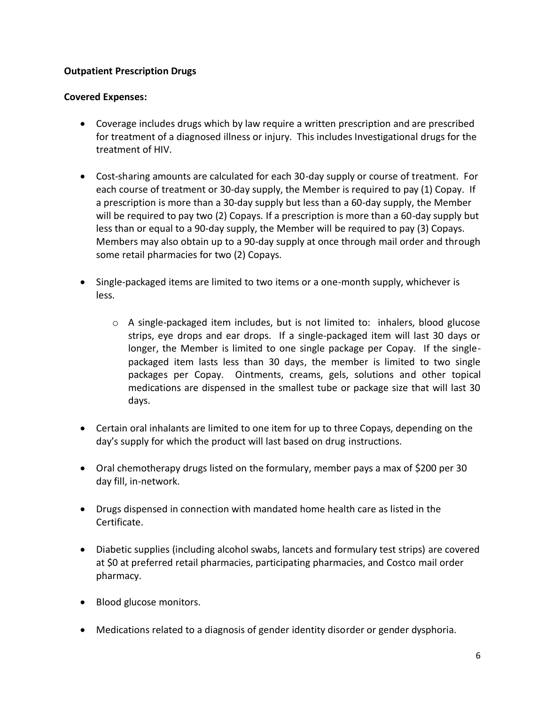# **Outpatient Prescription Drugs**

# **Covered Expenses:**

- Coverage includes drugs which by law require a written prescription and are prescribed for treatment of a diagnosed illness or injury. This includes Investigational drugs for the treatment of HIV.
- Cost-sharing amounts are calculated for each 30-day supply or course of treatment. For each course of treatment or 30-day supply, the Member is required to pay (1) Copay. If a prescription is more than a 30-day supply but less than a 60-day supply, the Member will be required to pay two (2) Copays. If a prescription is more than a 60-day supply but less than or equal to a 90-day supply, the Member will be required to pay (3) Copays. Members may also obtain up to a 90-day supply at once through mail order and through some retail pharmacies for two (2) Copays.
- Single-packaged items are limited to two items or a one-month supply, whichever is less.
	- o A single-packaged item includes, but is not limited to: inhalers, blood glucose strips, eye drops and ear drops. If a single-packaged item will last 30 days or longer, the Member is limited to one single package per Copay. If the singlepackaged item lasts less than 30 days, the member is limited to two single packages per Copay. Ointments, creams, gels, solutions and other topical medications are dispensed in the smallest tube or package size that will last 30 days.
- Certain oral inhalants are limited to one item for up to three Copays, depending on the day's supply for which the product will last based on drug instructions.
- Oral chemotherapy drugs listed on the formulary, member pays a max of \$200 per 30 day fill, in-network.
- Drugs dispensed in connection with mandated home health care as listed in the Certificate.
- Diabetic supplies (including alcohol swabs, lancets and formulary test strips) are covered at \$0 at preferred retail pharmacies, participating pharmacies, and Costco mail order pharmacy.
- Blood glucose monitors.
- Medications related to a diagnosis of gender identity disorder or gender dysphoria.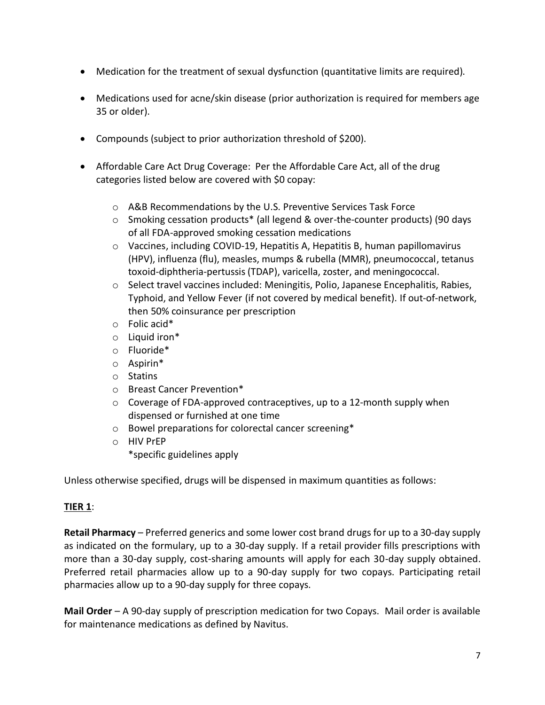- Medication for the treatment of sexual dysfunction (quantitative limits are required).
- Medications used for acne/skin disease (prior authorization is required for members age 35 or older).
- Compounds (subject to prior authorization threshold of \$200).
- Affordable Care Act Drug Coverage: Per the Affordable Care Act, all of the drug categories listed below are covered with \$0 copay:
	- o A&B Recommendations by the U.S. Preventive Services Task Force
	- o Smoking cessation products\* (all legend & over-the-counter products) (90 days of all FDA-approved smoking cessation medications
	- $\circ$  Vaccines, including COVID-19, Hepatitis A, Hepatitis B, human papillomavirus (HPV), influenza (flu), measles, mumps & rubella (MMR), pneumococcal, tetanus toxoid-diphtheria-pertussis (TDAP), varicella, zoster, and meningococcal.
	- $\circ$  Select travel vaccines included: Meningitis, Polio, Japanese Encephalitis, Rabies, Typhoid, and Yellow Fever (if not covered by medical benefit). If out-of-network, then 50% coinsurance per prescription
	- o Folic acid\*
	- $\circ$  Liquid iron\*
	- o Fluoride\*
	- o Aspirin\*
	- o Statins
	- o Breast Cancer Prevention\*
	- o Coverage of FDA-approved contraceptives, up to a 12-month supply when dispensed or furnished at one time
	- o Bowel preparations for colorectal cancer screening\*
	- o HIV PrEP
		- \*specific guidelines apply

Unless otherwise specified, drugs will be dispensed in maximum quantities as follows:

# **TIER 1**:

**Retail Pharmacy** – Preferred generics and some lower cost brand drugs for up to a 30-day supply as indicated on the formulary, up to a 30-day supply. If a retail provider fills prescriptions with more than a 30-day supply, cost-sharing amounts will apply for each 30-day supply obtained. Preferred retail pharmacies allow up to a 90-day supply for two copays. Participating retail pharmacies allow up to a 90-day supply for three copays.

**Mail Order** – A 90-day supply of prescription medication for two Copays. Mail order is available for maintenance medications as defined by Navitus.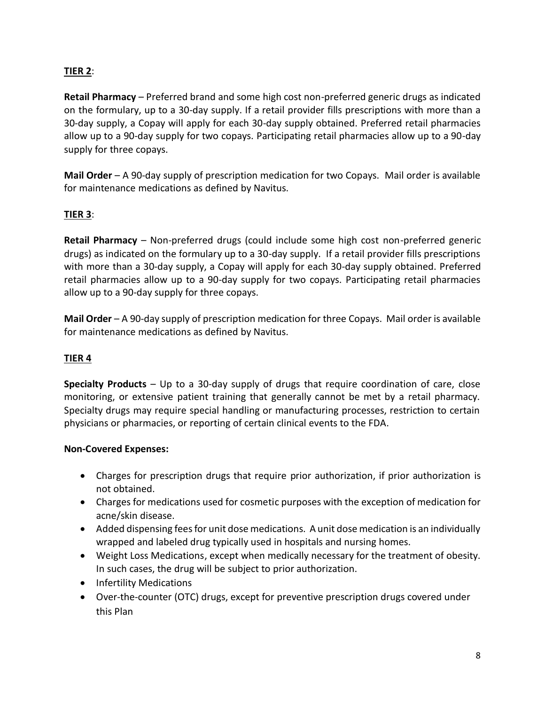# **TIER 2**:

**Retail Pharmacy** – Preferred brand and some high cost non-preferred generic drugs as indicated on the formulary, up to a 30-day supply. If a retail provider fills prescriptions with more than a 30-day supply, a Copay will apply for each 30-day supply obtained. Preferred retail pharmacies allow up to a 90-day supply for two copays. Participating retail pharmacies allow up to a 90-day supply for three copays.

**Mail Order** – A 90-day supply of prescription medication for two Copays. Mail order is available for maintenance medications as defined by Navitus.

# **TIER 3**:

**Retail Pharmacy** – Non-preferred drugs (could include some high cost non-preferred generic drugs) as indicated on the formulary up to a 30-day supply. If a retail provider fills prescriptions with more than a 30-day supply, a Copay will apply for each 30-day supply obtained. Preferred retail pharmacies allow up to a 90-day supply for two copays. Participating retail pharmacies allow up to a 90-day supply for three copays.

**Mail Order** – A 90-day supply of prescription medication for three Copays. Mail order is available for maintenance medications as defined by Navitus.

# **TIER 4**

**Specialty Products** – Up to a 30-day supply of drugs that require coordination of care, close monitoring, or extensive patient training that generally cannot be met by a retail pharmacy. Specialty drugs may require special handling or manufacturing processes, restriction to certain physicians or pharmacies, or reporting of certain clinical events to the FDA.

#### **Non-Covered Expenses:**

- Charges for prescription drugs that require prior authorization, if prior authorization is not obtained.
- Charges for medications used for cosmetic purposes with the exception of medication for acne/skin disease.
- Added dispensing fees for unit dose medications. A unit dose medication is an individually wrapped and labeled drug typically used in hospitals and nursing homes.
- Weight Loss Medications, except when medically necessary for the treatment of obesity. In such cases, the drug will be subject to prior authorization.
- Infertility Medications
- Over-the-counter (OTC) drugs, except for preventive prescription drugs covered under this Plan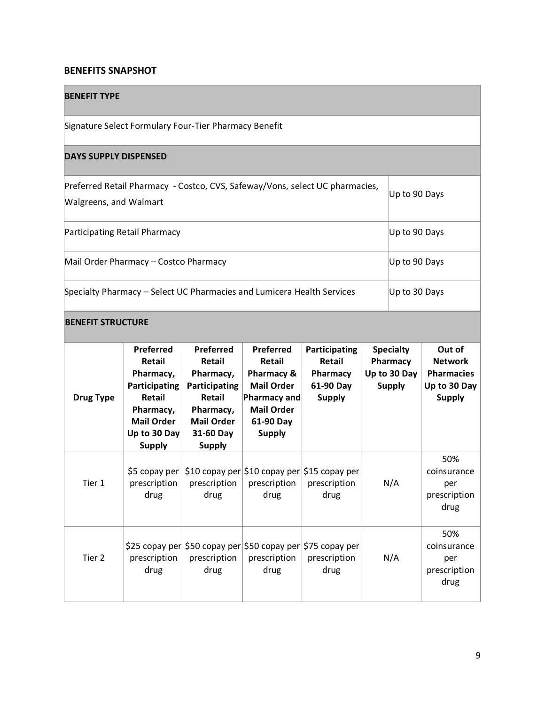#### **BENEFITS SNAPSHOT**

Tier 2

prescription drug

#### **BENEFIT TYPE**  Signature Select Formulary Four-Tier Pharmacy Benefit **DAYS SUPPLY DISPENSED**  Preferred Retail Pharmacy - Costco, CVS, Safeway/Vons, select UC pharmacies, Walgreens, and Walmart Up to 90 Days Participating Retail Pharmacy **Department Controllering Controllering Controllering Controllering Controllering** Mail Order Pharmacy – Costco Pharmacy **National Costco Pharmacy Costco Pharmacy** Up to 90 Days Specialty Pharmacy – Select UC Pharmacies and Lumicera Health Services Up to 30 Days **BENEFIT STRUCTURE Drug Type Preferred Retail Pharmacy, Participating Retail Pharmacy, Mail Order Up to 30 Day Supply Preferred Retail Pharmacy, Participating Retail Pharmacy, Mail Order 31-60 Day Supply Preferred Retail Pharmacy & Mail Order Pharmacy and Mail Order 61-90 Day Supply Participating Retail Pharmacy 61-90 Day Supply Specialty Pharmacy Up to 30 Day Supply Out of Network Pharmacies Up to 30 Day Supply**  Tier 1 \$5 copay per \$10 copay per \$10 copay per \$15 copay per prescription drug prescription drug prescription drug prescription drug N/A 50% coinsurance per prescription drug

\$25 copay per \$50 copay per \$50 copay per \$75 copay per

prescription drug

prescription drug

N/A

prescription drug

50% coinsurance per prescription drug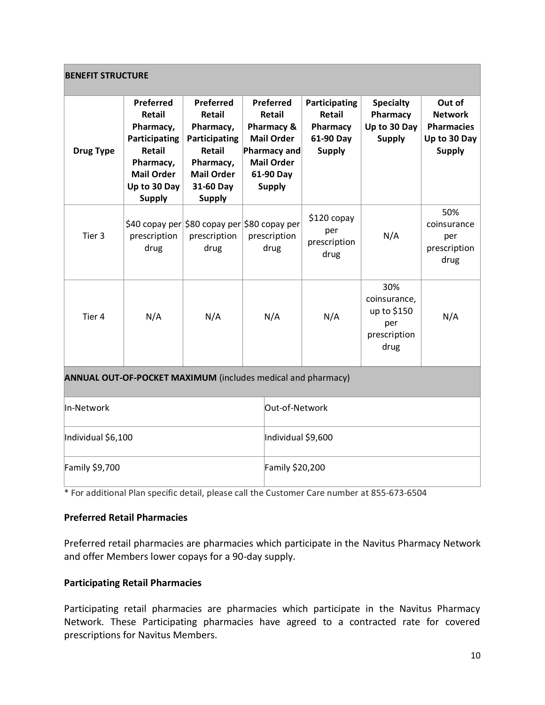| <b>BENEFIT STRUCTURE</b>                                            |                                                                                                                                       |                                                                                                                                           |                                                                                                                                  |                    |                                                                          |                                                                   |                                                                                |
|---------------------------------------------------------------------|---------------------------------------------------------------------------------------------------------------------------------------|-------------------------------------------------------------------------------------------------------------------------------------------|----------------------------------------------------------------------------------------------------------------------------------|--------------------|--------------------------------------------------------------------------|-------------------------------------------------------------------|--------------------------------------------------------------------------------|
| <b>Drug Type</b>                                                    | Preferred<br>Retail<br>Pharmacy,<br>Participating<br><b>Retail</b><br>Pharmacy,<br><b>Mail Order</b><br>Up to 30 Day<br><b>Supply</b> | Preferred<br><b>Retail</b><br>Pharmacy,<br>Participating<br><b>Retail</b><br>Pharmacy,<br><b>Mail Order</b><br>31-60 Day<br><b>Supply</b> | Preferred<br>Retail<br>Pharmacy &<br><b>Mail Order</b><br><b>Pharmacy and</b><br><b>Mail Order</b><br>61-90 Day<br><b>Supply</b> |                    | Participating<br><b>Retail</b><br>Pharmacy<br>61-90 Day<br><b>Supply</b> | <b>Specialty</b><br>Pharmacy<br>Up to 30 Day<br><b>Supply</b>     | Out of<br><b>Network</b><br><b>Pharmacies</b><br>Up to 30 Day<br><b>Supply</b> |
| Tier <sub>3</sub>                                                   | prescription<br>drug                                                                                                                  | prescription<br>drug                                                                                                                      | \$40 copay per \$80 copay per \$80 copay per<br>prescription<br>drug                                                             |                    | \$120 copay<br>per<br>prescription<br>drug                               | N/A                                                               | 50%<br>coinsurance<br>per<br>prescription<br>drug                              |
| Tier 4                                                              | N/A                                                                                                                                   | N/A                                                                                                                                       | N/A                                                                                                                              |                    | N/A                                                                      | 30%<br>coinsurance,<br>up to \$150<br>per<br>prescription<br>drug | N/A                                                                            |
| <b>ANNUAL OUT-OF-POCKET MAXIMUM</b> (includes medical and pharmacy) |                                                                                                                                       |                                                                                                                                           |                                                                                                                                  |                    |                                                                          |                                                                   |                                                                                |
| In-Network                                                          |                                                                                                                                       |                                                                                                                                           |                                                                                                                                  | Out-of-Network     |                                                                          |                                                                   |                                                                                |
| Individual \$6,100                                                  |                                                                                                                                       |                                                                                                                                           |                                                                                                                                  | Individual \$9,600 |                                                                          |                                                                   |                                                                                |
| Family \$9,700                                                      |                                                                                                                                       |                                                                                                                                           |                                                                                                                                  | Family \$20,200    |                                                                          |                                                                   |                                                                                |

\* For additional Plan specific detail, please call the Customer Care number at 855-673-6504

# **Preferred Retail Pharmacies**

Preferred retail pharmacies are pharmacies which participate in the Navitus Pharmacy Network and offer Members lower copays for a 90-day supply.

# **Participating Retail Pharmacies**

Participating retail pharmacies are pharmacies which participate in the Navitus Pharmacy Network. These Participating pharmacies have agreed to a contracted rate for covered prescriptions for Navitus Members.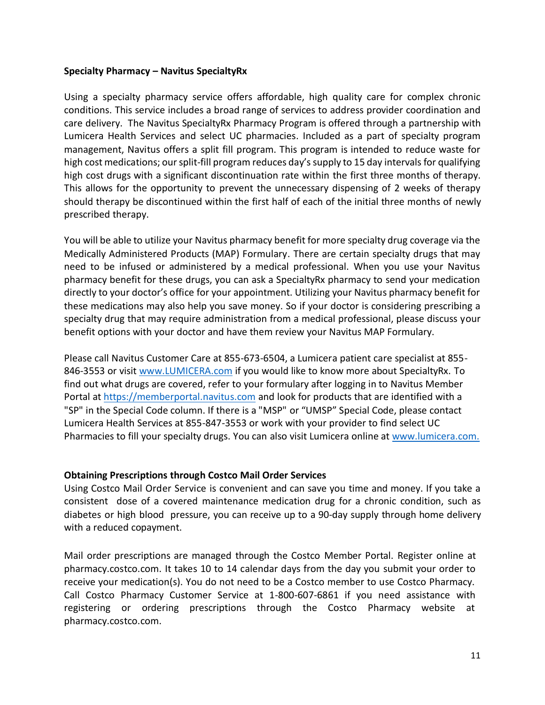#### **Specialty Pharmacy – Navitus SpecialtyRx**

Using a specialty pharmacy service offers affordable, high quality care for complex chronic conditions. This service includes a broad range of services to address provider coordination and care delivery. The Navitus SpecialtyRx Pharmacy Program is offered through a partnership with Lumicera Health Services and select UC pharmacies. Included as a part of specialty program management, Navitus offers a split fill program. This program is intended to reduce waste for high cost medications; our split-fill program reduces day's supply to 15 day intervals for qualifying high cost drugs with a significant discontinuation rate within the first three months of therapy. This allows for the opportunity to prevent the unnecessary dispensing of 2 weeks of therapy should therapy be discontinued within the first half of each of the initial three months of newly prescribed therapy.

You will be able to utilize your Navitus pharmacy benefit for more specialty drug coverage via the Medically Administered Products (MAP) Formulary. There are certain specialty drugs that may need to be infused or administered by a medical professional. When you use your Navitus pharmacy benefit for these drugs, you can ask a SpecialtyRx pharmacy to send your medication directly to your doctor's office for your appointment. Utilizing your Navitus pharmacy benefit for these medications may also help you save money. So if your doctor is considering prescribing a specialty drug that may require administration from a medical professional, please discuss your benefit options with your doctor and have them review your Navitus MAP Formulary.

Please call Navitus Customer Care at 855-673-6504, a Lumicera patient care specialist at 855- 846-3553 or visit [www.LUMICERA.com](http://www.lumicera.com/) if you would like to know more about SpecialtyRx. To find out what drugs are covered, refer to your formulary after logging in to Navitus Member Portal at [https://memberportal.navitus.com](https://memberportal.navitus.com/) and look for products that are identified with a "SP" in the Special Code column. If there is a "MSP" or "UMSP" Special Code, please contact Lumicera Health Services at 855-847-3553 or work with your provider to find select UC Pharmacies to fill your specialty drugs. You can also visit Lumicera online at [www.lumicera.com.](http://www.lumicera.com/)

#### **Obtaining Prescriptions through Costco Mail Order Services**

Using Costco Mail Order Service is convenient and can save you time and money. If you take a consistent dose of a covered maintenance medication drug for a chronic condition, such as diabetes or high blood pressure, you can receive up to a 90-day supply through home delivery with a reduced copayment.

Mail order prescriptions are managed through the Costco Member Portal. Register online at pharmacy.costco.com. It takes 10 to 14 calendar days from the day you submit your order to receive your medication(s). You do not need to be a Costco member to use Costco Pharmacy. Call Costco Pharmacy Customer Service at 1-800-607-6861 if you need assistance with registering or ordering prescriptions through the Costco Pharmacy website at pharmacy.costco.com.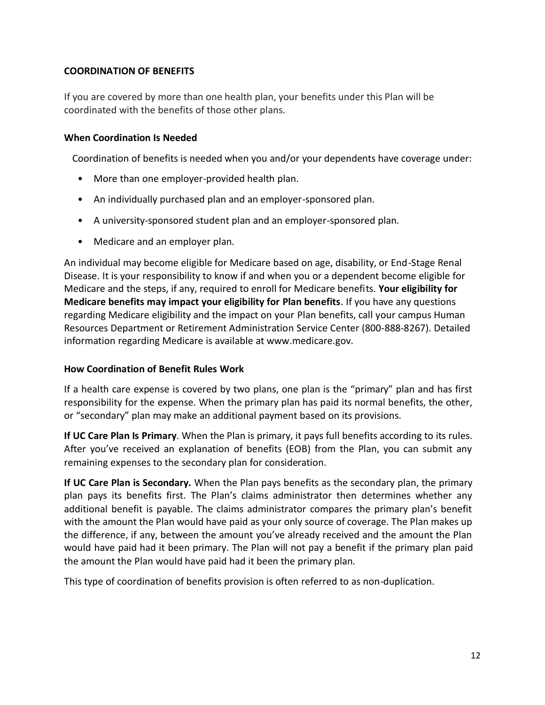## **COORDINATION OF BENEFITS**

If you are covered by more than one health plan, your benefits under this Plan will be coordinated with the benefits of those other plans.

#### **When Coordination Is Needed**

Coordination of benefits is needed when you and/or your dependents have coverage under:

- More than one employer-provided health plan.
- An individually purchased plan and an employer-sponsored plan.
- A university-sponsored student plan and an employer-sponsored plan.
- Medicare and an employer plan.

An individual may become eligible for Medicare based on age, disability, or End-Stage Renal Disease. It is your responsibility to know if and when you or a dependent become eligible for Medicare and the steps, if any, required to enroll for Medicare benefits. **Your eligibility for Medicare benefits may impact your eligibility for Plan benefits**. If you have any questions regarding Medicare eligibility and the impact on your Plan benefits, call your campus Human Resources Department or Retirement Administration Service Center (800-888-8267). Detailed information regarding Medicare is available at www.medicare.gov.

#### **How Coordination of Benefit Rules Work**

If a health care expense is covered by two plans, one plan is the "primary" plan and has first responsibility for the expense. When the primary plan has paid its normal benefits, the other, or "secondary" plan may make an additional payment based on its provisions.

**If UC Care Plan Is Primary**. When the Plan is primary, it pays full benefits according to its rules. After you've received an explanation of benefits (EOB) from the Plan, you can submit any remaining expenses to the secondary plan for consideration.

**If UC Care Plan is Secondary.** When the Plan pays benefits as the secondary plan, the primary plan pays its benefits first. The Plan's claims administrator then determines whether any additional benefit is payable. The claims administrator compares the primary plan's benefit with the amount the Plan would have paid as your only source of coverage. The Plan makes up the difference, if any, between the amount you've already received and the amount the Plan would have paid had it been primary. The Plan will not pay a benefit if the primary plan paid the amount the Plan would have paid had it been the primary plan.

This type of coordination of benefits provision is often referred to as non-duplication.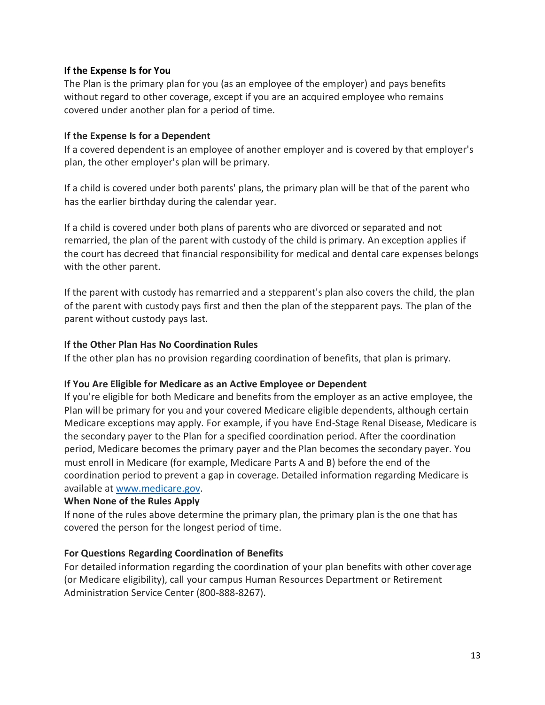#### **If the Expense Is for You**

The Plan is the primary plan for you (as an employee of the employer) and pays benefits without regard to other coverage, except if you are an acquired employee who remains covered under another plan for a period of time.

#### **If the Expense Is for a Dependent**

If a covered dependent is an employee of another employer and is covered by that employer's plan, the other employer's plan will be primary.

If a child is covered under both parents' plans, the primary plan will be that of the parent who has the earlier birthday during the calendar year.

If a child is covered under both plans of parents who are divorced or separated and not remarried, the plan of the parent with custody of the child is primary. An exception applies if the court has decreed that financial responsibility for medical and dental care expenses belongs with the other parent.

If the parent with custody has remarried and a stepparent's plan also covers the child, the plan of the parent with custody pays first and then the plan of the stepparent pays. The plan of the parent without custody pays last.

## **If the Other Plan Has No Coordination Rules**

If the other plan has no provision regarding coordination of benefits, that plan is primary.

#### **If You Are Eligible for Medicare as an Active Employee or Dependent**

If you're eligible for both Medicare and benefits from the employer as an active employee, the Plan will be primary for you and your covered Medicare eligible dependents, although certain Medicare exceptions may apply. For example, if you have End-Stage Renal Disease, Medicare is the secondary payer to the Plan for a specified coordination period. After the coordination period, Medicare becomes the primary payer and the Plan becomes the secondary payer. You must enroll in Medicare (for example, Medicare Parts A and B) before the end of the coordination period to prevent a gap in coverage. Detailed information regarding Medicare is available at [www.medicare.gov.](http://www.medicare.gov/)

#### **When None of the Rules Apply**

If none of the rules above determine the primary plan, the primary plan is the one that has covered the person for the longest period of time.

# **For Questions Regarding Coordination of Benefits**

For detailed information regarding the coordination of your plan benefits with other coverage (or Medicare eligibility), call your campus Human Resources Department or Retirement Administration Service Center (800-888-8267).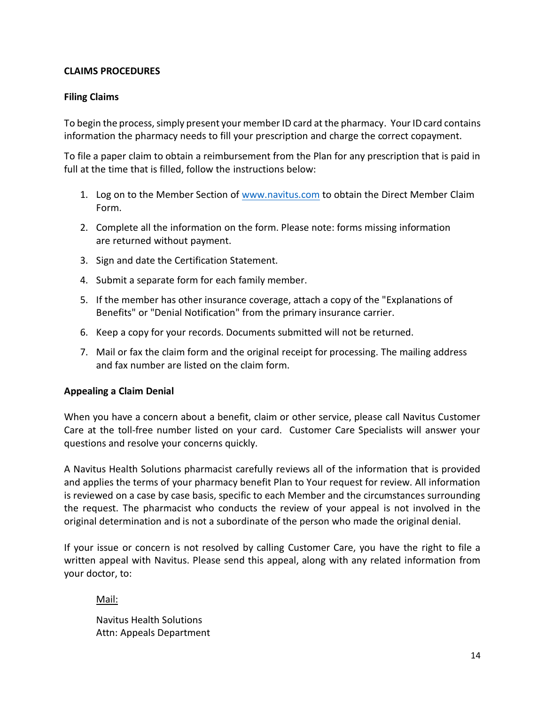### **CLAIMS PROCEDURES**

#### **Filing Claims**

To begin the process, simply present your member ID card at the pharmacy. Your ID card contains information the pharmacy needs to fill your prescription and charge the correct copayment.

To file a paper claim to obtain a reimbursement from the Plan for any prescription that is paid in full at the time that is filled, follow the instructions below:

- 1. Log on to the Member Section of [www.navitus.com](http://www.navitus.com/) to obtain the Direct Member Claim Form.
- 2. Complete all the information on the form. Please note: forms missing information are returned without payment.
- 3. Sign and date the Certification Statement.
- 4. Submit a separate form for each family member.
- 5. If the member has other insurance coverage, attach a copy of the "Explanations of Benefits" or "Denial Notification" from the primary insurance carrier.
- 6. Keep a copy for your records. Documents submitted will not be returned.
- 7. Mail or fax the claim form and the original receipt for processing. The mailing address and fax number are listed on the claim form.

#### **Appealing a Claim Denial**

When you have a concern about a benefit, claim or other service, please call Navitus Customer Care at the toll-free number listed on your card. Customer Care Specialists will answer your questions and resolve your concerns quickly.

A Navitus Health Solutions pharmacist carefully reviews all of the information that is provided and applies the terms of your pharmacy benefit Plan to Your request for review. All information is reviewed on a case by case basis, specific to each Member and the circumstances surrounding the request. The pharmacist who conducts the review of your appeal is not involved in the original determination and is not a subordinate of the person who made the original denial.

If your issue or concern is not resolved by calling Customer Care, you have the right to file a written appeal with Navitus. Please send this appeal, along with any related information from your doctor, to:

#### Mail:

Navitus Health Solutions Attn: Appeals Department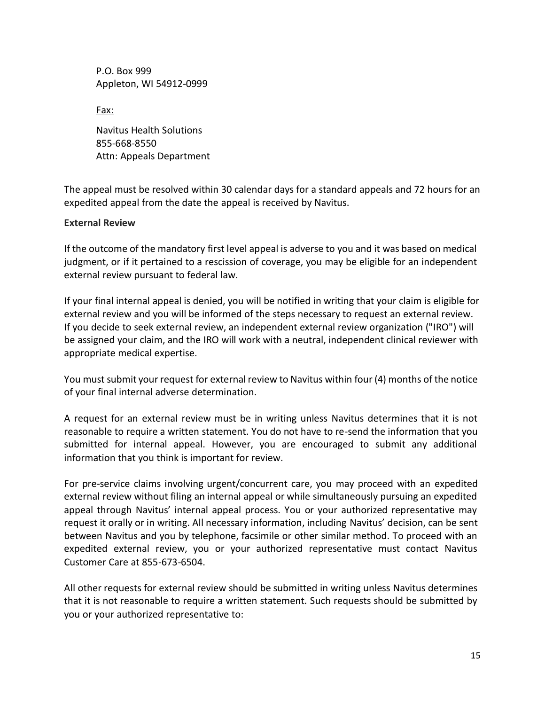P.O. Box 999 Appleton, WI 54912-0999

Fax:

Navitus Health Solutions 855-668-8550 Attn: Appeals Department

The appeal must be resolved within 30 calendar days for a standard appeals and 72 hours for an expedited appeal from the date the appeal is received by Navitus.

#### **External Review**

If the outcome of the mandatory first level appeal is adverse to you and it was based on medical judgment, or if it pertained to a rescission of coverage, you may be eligible for an independent external review pursuant to federal law.

If your final internal appeal is denied, you will be notified in writing that your claim is eligible for external review and you will be informed of the steps necessary to request an external review. If you decide to seek external review, an independent external review organization ("IRO") will be assigned your claim, and the IRO will work with a neutral, independent clinical reviewer with appropriate medical expertise.

You must submit your request for external review to Navitus within four (4) months of the notice of your final internal adverse determination.

A request for an external review must be in writing unless Navitus determines that it is not reasonable to require a written statement. You do not have to re-send the information that you submitted for internal appeal. However, you are encouraged to submit any additional information that you think is important for review.

For pre-service claims involving urgent/concurrent care, you may proceed with an expedited external review without filing an internal appeal or while simultaneously pursuing an expedited appeal through Navitus' internal appeal process. You or your authorized representative may request it orally or in writing. All necessary information, including Navitus' decision, can be sent between Navitus and you by telephone, facsimile or other similar method. To proceed with an expedited external review, you or your authorized representative must contact Navitus Customer Care at 855-673-6504.

All other requests for external review should be submitted in writing unless Navitus determines that it is not reasonable to require a written statement. Such requests should be submitted by you or your authorized representative to: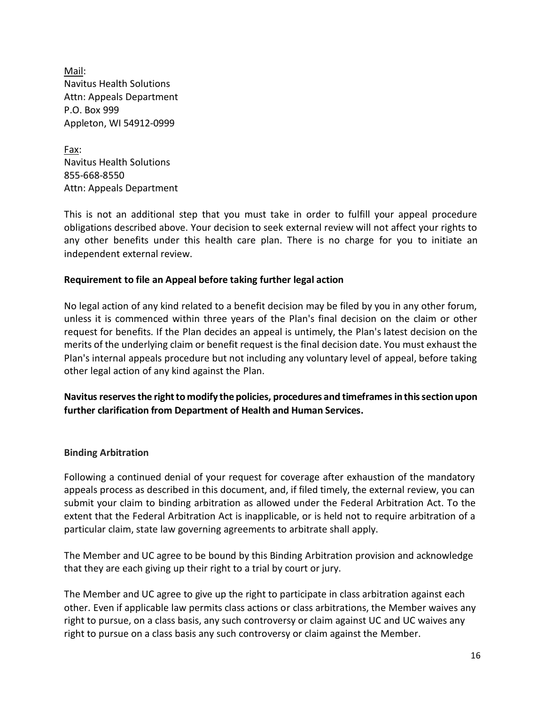Mail: Navitus Health Solutions Attn: Appeals Department P.O. Box 999 Appleton, WI 54912-0999

Fax: Navitus Health Solutions 855-668-8550 Attn: Appeals Department

This is not an additional step that you must take in order to fulfill your appeal procedure obligations described above. Your decision to seek external review will not affect your rights to any other benefits under this health care plan. There is no charge for you to initiate an independent external review.

## **Requirement to file an Appeal before taking further legal action**

No legal action of any kind related to a benefit decision may be filed by you in any other forum, unless it is commenced within three years of the Plan's final decision on the claim or other request for benefits. If the Plan decides an appeal is untimely, the Plan's latest decision on the merits of the underlying claim or benefit request is the final decision date. You must exhaust the Plan's internal appeals procedure but not including any voluntary level of appeal, before taking other legal action of any kind against the Plan.

Navitus reserves the right to modify the policies, procedures and timeframes in this section upon **further clarification from Department of Health and Human Services.**

#### **Binding Arbitration**

Following a continued denial of your request for coverage after exhaustion of the mandatory appeals process as described in this document, and, if filed timely, the external review, you can submit your claim to binding arbitration as allowed under the Federal Arbitration Act. To the extent that the Federal Arbitration Act is inapplicable, or is held not to require arbitration of a particular claim, state law governing agreements to arbitrate shall apply.

The Member and UC agree to be bound by this Binding Arbitration provision and acknowledge that they are each giving up their right to a trial by court or jury.

The Member and UC agree to give up the right to participate in class arbitration against each other. Even if applicable law permits class actions or class arbitrations, the Member waives any right to pursue, on a class basis, any such controversy or claim against UC and UC waives any right to pursue on a class basis any such controversy or claim against the Member.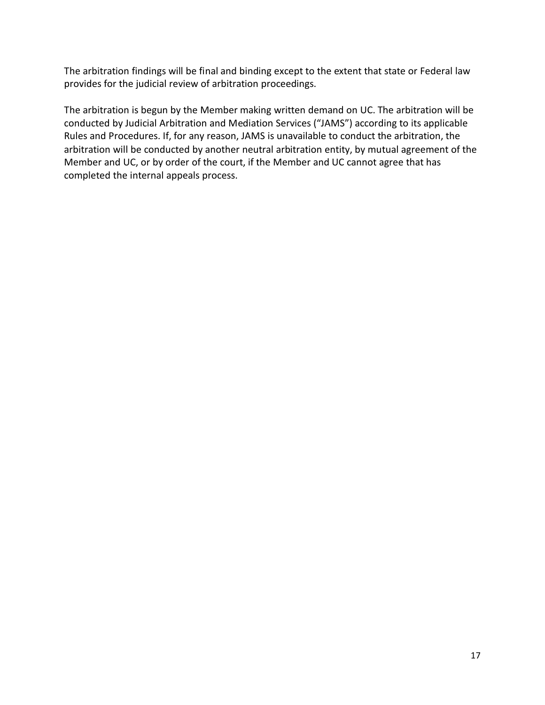The arbitration findings will be final and binding except to the extent that state or Federal law provides for the judicial review of arbitration proceedings.

The arbitration is begun by the Member making written demand on UC. The arbitration will be conducted by Judicial Arbitration and Mediation Services ("JAMS") according to its applicable Rules and Procedures. If, for any reason, JAMS is unavailable to conduct the arbitration, the arbitration will be conducted by another neutral arbitration entity, by mutual agreement of the Member and UC, or by order of the court, if the Member and UC cannot agree that has completed the internal appeals process.